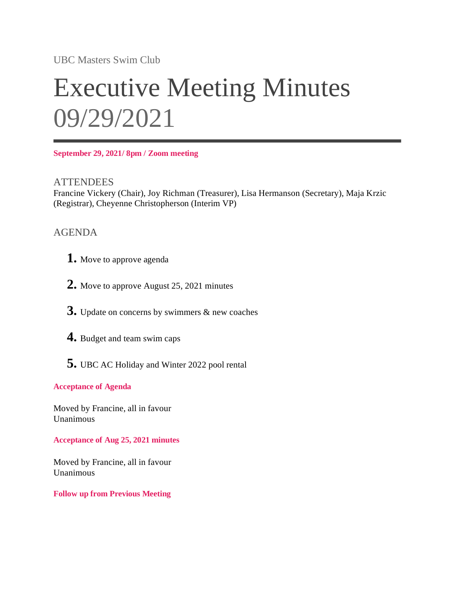UBC Masters Swim Club

# Executive Meeting Minutes 09/29/2021

**September 29, 2021/ 8pm / Zoom meeting**

**ATTENDEES** Francine Vickery (Chair), Joy Richman (Treasurer), Lisa Hermanson (Secretary), Maja Krzic (Registrar), Cheyenne Christopherson (Interim VP)

## AGENDA

- **1.** Move to approve agenda
- **2.** Move to approve August 25, 2021 minutes
- **3.** Update on concerns by swimmers & new coaches
- **4.** Budget and team swim caps
- **5.** UBC AC Holiday and Winter 2022 pool rental

### **Acceptance of Agenda**

Moved by Francine, all in favour Unanimous

**Acceptance of Aug 25, 2021 minutes**

Moved by Francine, all in favour Unanimous

#### **Follow up from Previous Meeting**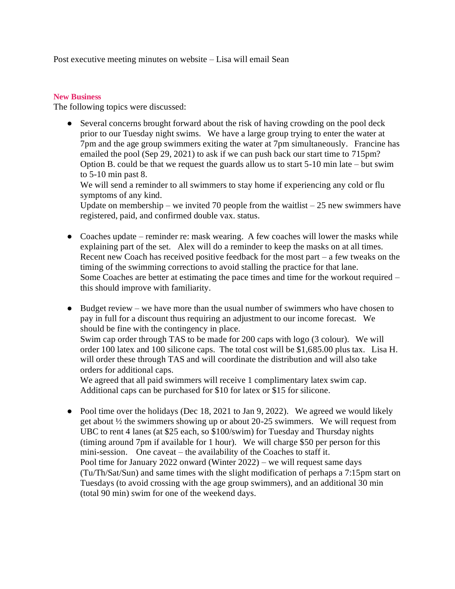Post executive meeting minutes on website – Lisa will email Sean

#### **New Business**

The following topics were discussed:

• Several concerns brought forward about the risk of having crowding on the pool deck prior to our Tuesday night swims. We have a large group trying to enter the water at 7pm and the age group swimmers exiting the water at 7pm simultaneously. Francine has emailed the pool (Sep 29, 2021) to ask if we can push back our start time to 715pm? Option B. could be that we request the guards allow us to start 5-10 min late – but swim to 5-10 min past 8.

We will send a reminder to all swimmers to stay home if experiencing any cold or flu symptoms of any kind.

Update on membership – we invited 70 people from the waitlist  $-25$  new swimmers have registered, paid, and confirmed double vax. status.

- Coaches update reminder re: mask wearing. A few coaches will lower the masks while explaining part of the set. Alex will do a reminder to keep the masks on at all times. Recent new Coach has received positive feedback for the most part – a few tweaks on the timing of the swimming corrections to avoid stalling the practice for that lane. Some Coaches are better at estimating the pace times and time for the workout required – this should improve with familiarity.
- Budget review we have more than the usual number of swimmers who have chosen to pay in full for a discount thus requiring an adjustment to our income forecast. We should be fine with the contingency in place. Swim cap order through TAS to be made for 200 caps with logo (3 colour). We will order 100 latex and 100 silicone caps. The total cost will be \$1,685.00 plus tax. Lisa H. will order these through TAS and will coordinate the distribution and will also take orders for additional caps.

We agreed that all paid swimmers will receive 1 complimentary latex swim cap. Additional caps can be purchased for \$10 for latex or \$15 for silicone.

• Pool time over the holidays (Dec 18, 2021 to Jan 9, 2022). We agreed we would likely get about ½ the swimmers showing up or about 20-25 swimmers. We will request from UBC to rent 4 lanes (at \$25 each, so \$100/swim) for Tuesday and Thursday nights (timing around 7pm if available for 1 hour). We will charge \$50 per person for this mini-session. One caveat – the availability of the Coaches to staff it. Pool time for January 2022 onward (Winter 2022) – we will request same days (Tu/Th/Sat/Sun) and same times with the slight modification of perhaps a 7:15pm start on Tuesdays (to avoid crossing with the age group swimmers), and an additional 30 min (total 90 min) swim for one of the weekend days.